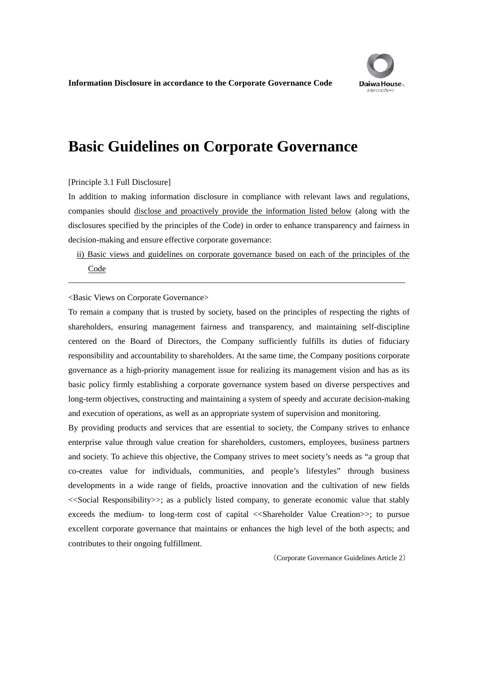## **Basic Guidelines on Corporate Governance**

## [Principle 3.1 Full Disclosure]

In addition to making information disclosure in compliance with relevant laws and regulations, companies should disclose and proactively provide the information listed below (along with the disclosures specified by the principles of the Code) in order to enhance transparency and fairness in decision-making and ensure effective corporate governance:

ii) Basic views and guidelines on corporate governance based on each of the principles of the Code

――――――――――――――――――――――――――――――――――――――――

<Basic Views on Corporate Governance>

To remain a company that is trusted by society, based on the principles of respecting the rights of shareholders, ensuring management fairness and transparency, and maintaining self-discipline centered on the Board of Directors, the Company sufficiently fulfills its duties of fiduciary responsibility and accountability to shareholders. At the same time, the Company positions corporate governance as a high-priority management issue for realizing its management vision and has as its basic policy firmly establishing a corporate governance system based on diverse perspectives and long-term objectives, constructing and maintaining a system of speedy and accurate decision-making and execution of operations, as well as an appropriate system of supervision and monitoring.

By providing products and services that are essential to society, the Company strives to enhance enterprise value through value creation for shareholders, customers, employees, business partners and society. To achieve this objective, the Company strives to meet society's needs as "a group that co-creates value for individuals, communities, and people's lifestyles" through business developments in a wide range of fields, proactive innovation and the cultivation of new fields <<Social Responsibility>>; as a publicly listed company, to generate economic value that stably exceeds the medium- to long-term cost of capital <<Shareholder Value Creation>>; to pursue excellent corporate governance that maintains or enhances the high level of the both aspects; and contributes to their ongoing fulfillment.

(Corporate Governance Guidelines Article 2)